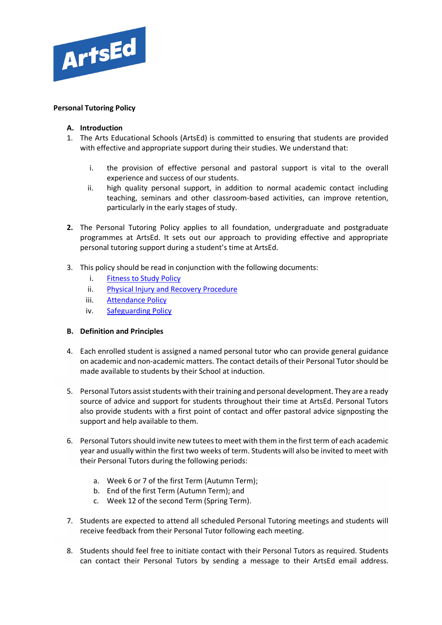

# **Personal Tutoring Policy**

# **A. Introduction**

- 1. The Arts Educational Schools (ArtsEd) is committed to ensuring that students are provided with effective and appropriate support during their studies. We understand that:
	- i. the provision of effective personal and pastoral support is vital to the overall experience and success of our students.
	- ii. high quality personal support, in addition to normal academic contact including teaching, seminars and other classroom-based activities, can improve retention, particularly in the early stages of study.
- **2.** The Personal Tutoring Policy applies to all foundation, undergraduate and postgraduate programmes at ArtsEd. It sets out our approach to providing effective and appropriate personal tutoring support during a student's time at ArtsEd.
- 3. This policy should be read in conjunction with the following documents:
	- i. [Fitness to Study Policy](https://artsed003.blob.core.windows.net/policy/fitness-to-study-policy.pdf)
	- ii. [Physical Injury and Recovery Procedure](https://artsed003.blob.core.windows.net/policy/physical-injury-reporting-and-recovery-procedure.pdf)
	- iii. [Attendance Policy](https://artsed003.blob.core.windows.net/policy/attendance-policy.pdf)
	- iv. [Safeguarding Policy](https://artsed003.blob.core.windows.net/policy/safeguarding-policy.pdf)

# **B. Definition and Principles**

- 4. Each enrolled student is assigned a named personal tutor who can provide general guidance on academic and non-academic matters. The contact details of their Personal Tutorshould be made available to students by their School at induction.
- 5. Personal Tutors assist students with their training and personal development. They are a ready source of advice and support for students throughout their time at ArtsEd. Personal Tutors also provide students with a first point of contact and offer pastoral advice signposting the support and help available to them.
- 6. Personal Tutors should invite new tutees to meet with them in the first term of each academic year and usually within the first two weeks of term. Students will also be invited to meet with their Personal Tutors during the following periods:
	- a. Week 6 or 7 of the first Term (Autumn Term);
	- b. End of the first Term (Autumn Term); and
	- c. Week 12 of the second Term (Spring Term).
- 7. Students are expected to attend all scheduled Personal Tutoring meetings and students will receive feedback from their Personal Tutor following each meeting.
- 8. Students should feel free to initiate contact with their Personal Tutors as required. Students can contact their Personal Tutors by sending a message to their ArtsEd email address.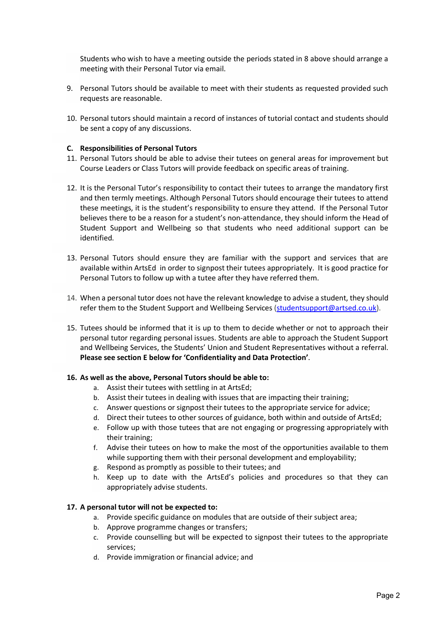Students who wish to have a meeting outside the periods stated in 8 above should arrange a meeting with their Personal Tutor via email.

- 9. Personal Tutors should be available to meet with their students as requested provided such requests are reasonable.
- 10. Personal tutors should maintain a record of instances of tutorial contact and students should be sent a copy of any discussions.

#### **C. Responsibilities of Personal Tutors**

- 11. Personal Tutors should be able to advise their tutees on general areas for improvement but Course Leaders or Class Tutors will provide feedback on specific areas of training.
- 12. It is the Personal Tutor's responsibility to contact their tutees to arrange the mandatory first and then termly meetings. Although Personal Tutors should encourage their tutees to attend these meetings, it is the student's responsibility to ensure they attend. If the Personal Tutor believes there to be a reason for a student's non-attendance, they should inform the Head of Student Support and Wellbeing so that students who need additional support can be identified.
- 13. Personal Tutors should ensure they are familiar with the support and services that are available within ArtsEd in order to signpost their tutees appropriately. It is good practice for Personal Tutors to follow up with a tutee after they have referred them.
- 14. When a personal tutor does not have the relevant knowledge to advise a student, they should refer them to the Student Support and Wellbeing Services [\(studentsupport@artsed.co.uk\)](mailto:studentsupport@artsed.co.uk).
- 15. Tutees should be informed that it is up to them to decide whether or not to approach their personal tutor regarding personal issues. Students are able to approach the Student Support and Wellbeing Services, the Students' Union and Student Representatives without a referral. **Please see section E below for 'Confidentiality and Data Protection'**.

#### **16. As well as the above, Personal Tutors should be able to:**

- a. Assist their tutees with settling in at ArtsEd;
- b. Assist their tutees in dealing with issues that are impacting their training;
- c. Answer questions or signpost their tutees to the appropriate service for advice;
- d. Direct their tutees to other sources of guidance, both within and outside of ArtsEd;
- e. Follow up with those tutees that are not engaging or progressing appropriately with their training;
- f. Advise their tutees on how to make the most of the opportunities available to them while supporting them with their personal development and employability;
- g. Respond as promptly as possible to their tutees; and
- h. Keep up to date with the ArtsEd's policies and procedures so that they can appropriately advise students.

#### **17. A personal tutor will not be expected to:**

- a. Provide specific guidance on modules that are outside of their subject area;
- b. Approve programme changes or transfers;
- c. Provide counselling but will be expected to signpost their tutees to the appropriate services;
- d. Provide immigration or financial advice; and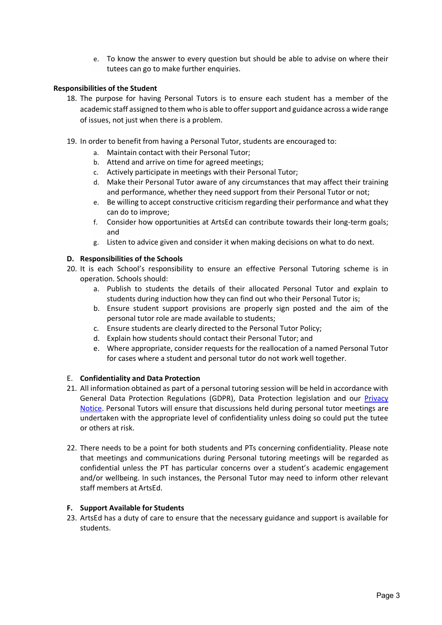e. To know the answer to every question but should be able to advise on where their tutees can go to make further enquiries.

### **Responsibilities of the Student**

- 18. The purpose for having Personal Tutors is to ensure each student has a member of the academic staff assigned to them who is able to offer support and guidance across a wide range of issues, not just when there is a problem.
- 19. In order to benefit from having a Personal Tutor, students are encouraged to:
	- a. Maintain contact with their Personal Tutor;
	- b. Attend and arrive on time for agreed meetings;
	- c. Actively participate in meetings with their Personal Tutor;
	- d. Make their Personal Tutor aware of any circumstances that may affect their training and performance, whether they need support from their Personal Tutor or not;
	- e. Be willing to accept constructive criticism regarding their performance and what they can do to improve;
	- f. Consider how opportunities at ArtsEd can contribute towards their long-term goals; and
	- g. Listen to advice given and consider it when making decisions on what to do next.

### **D. Responsibilities of the Schools**

- 20. It is each School's responsibility to ensure an effective Personal Tutoring scheme is in operation. Schools should:
	- a. Publish to students the details of their allocated Personal Tutor and explain to students during induction how they can find out who their Personal Tutor is;
	- b. Ensure student support provisions are properly sign posted and the aim of the personal tutor role are made available to students;
	- c. Ensure students are clearly directed to the Personal Tutor Policy;
	- d. Explain how students should contact their Personal Tutor; and
	- e. Where appropriate, consider requests for the reallocation of a named Personal Tutor for cases where a student and personal tutor do not work well together.

#### E. **Confidentiality and Data Protection**

- 21. All information obtained as part of a personal tutoring session will be held in accordance with General Data Protection Regulations (GDPR), Data Protection legislation and our [Privacy](https://artsed003.blob.core.windows.net/policy/privacy-notice.pdf)  [Notice.](https://artsed003.blob.core.windows.net/policy/privacy-notice.pdf) Personal Tutors will ensure that discussions held during personal tutor meetings are undertaken with the appropriate level of confidentiality unless doing so could put the tutee or others at risk.
- 22. There needs to be a point for both students and PTs concerning confidentiality. Please note that meetings and communications during Personal tutoring meetings will be regarded as confidential unless the PT has particular concerns over a student's academic engagement and/or wellbeing. In such instances, the Personal Tutor may need to inform other relevant staff members at ArtsEd.

#### **F. Support Available for Students**

23. ArtsEd has a duty of care to ensure that the necessary guidance and support is available for students.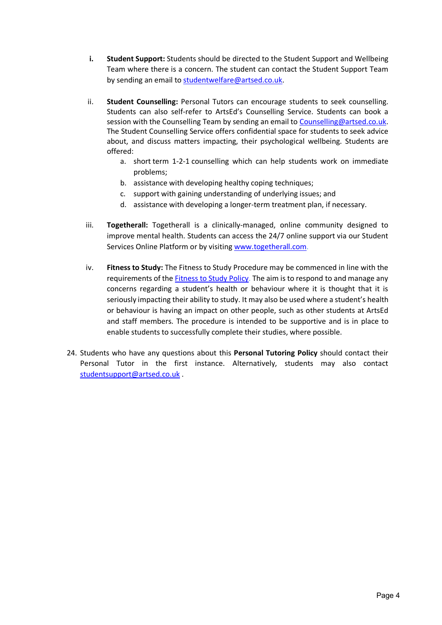- **i. Student Support:** Students should be directed to the Student Support and Wellbeing Team where there is a concern. The student can contact the Student Support Team by sending an email to [studentwelfare@artsed.co.uk.](mailto:studentwelfare@artsed.co.uk)
- ii. **Student Counselling:** Personal Tutors can encourage students to seek counselling. Students can also self-refer to ArtsEd's Counselling Service. Students can book a session with the Counselling Team by sending an email to [Counselling@artsed.co.uk.](mailto:Counselling@artsed.co.uk) The Student Counselling Service offers confidential space for students to seek advice about, and discuss matters impacting, their psychological wellbeing. Students are offered:
	- a. short term 1-2-1 counselling which can help students work on immediate problems;
	- b. assistance with developing healthy coping techniques;
	- c. support with gaining understanding of underlying issues; and
	- d. assistance with developing a longer-term treatment plan, if necessary.
- iii. **Togetherall:** Togetherall is a clinically-managed, online community designed to improve mental health. Students can access the 24/7 online support via our Student Services Online Platform or by visitin[g www.togetherall.com.](http://www.togetherall.com/)
- iv. **Fitness to Study:** The Fitness to Study Procedure may be commenced in line with the requirements of the [Fitness to Study Policy.](https://artsed003.blob.core.windows.net/policy/fitness-to-study-policy.pdf) The aim is to respond to and manage any concerns regarding a student's health or behaviour where it is thought that it is seriously impacting their ability to study. It may also be used where a student's health or behaviour is having an impact on other people, such as other students at ArtsEd and staff members. The procedure is intended to be supportive and is in place to enable students to successfully complete their studies, where possible.
- 24. Students who have any questions about this **Personal Tutoring Policy** should contact their Personal Tutor in the first instance. Alternatively, students may also contact [studentsupport@artsed.co.uk](mailto:studentsupport@artsed.co.uk) .